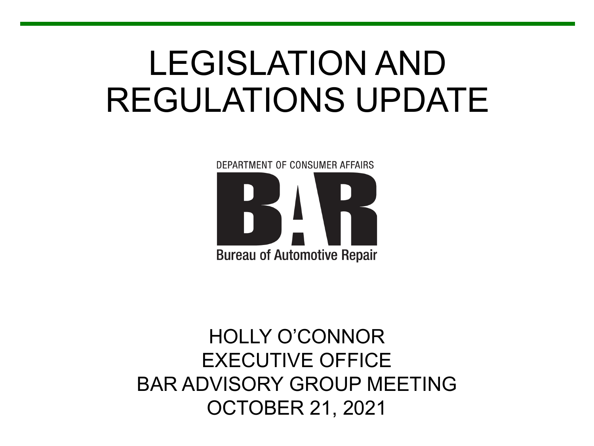# LEGISLATION AND REGULATIONS UPDATE

DEPARTMENT OF CONSUMER AFFAIRS **Bureau of Automotive Repair** 

#### BAR ADVISORY GROUP MEETING HOLLY O'CONNOR EXECUTIVE OFFICE OCTOBER 21, 2021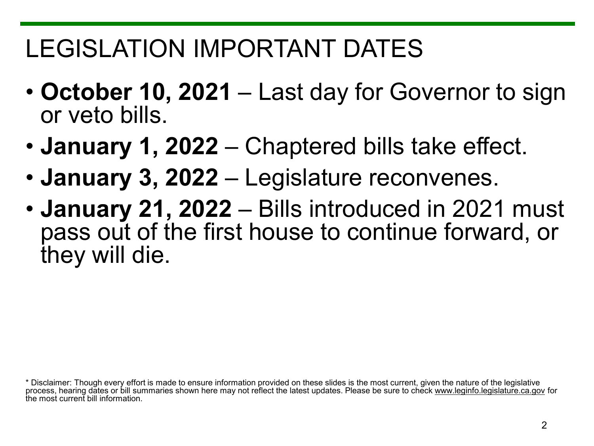# LEGISLATION IMPORTANT DATES

- **October 10, 2021**  Last day for Governor to sign or veto bills.
- **January 1, 2022**  Chaptered bills take effect.
- **January 3, 2022**  Legislature reconvenes.
- **January 21, 2022**  Bills introduced in 2021 must pass out of the first house to continue forward, or they will die.

 \* Disclaimer: Though every effort is made to ensure information provided on these slides is the most current, given the nature of the legislative process, hearing dates or bill summaries shown here may not reflect the latest updates. Please be sure to check<www.leginfo.legislature.ca.gov>for the most current bill information.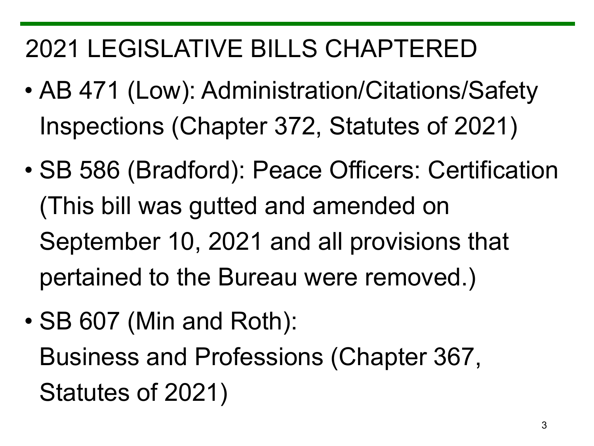# 2021 LEGISLATIVE BILLS CHAPTERED

- AB 471 (Low): Administration/Citations/Safety Inspections (Chapter 372, Statutes of 2021)
- SB 586 (Bradford): Peace Officers: Certification (This bill was gutted and amended on September 10, 2021 and all provisions that pertained to the Bureau were removed.)
- SB 607 (Min and Roth): Business and Professions (Chapter 367, Statutes of 2021)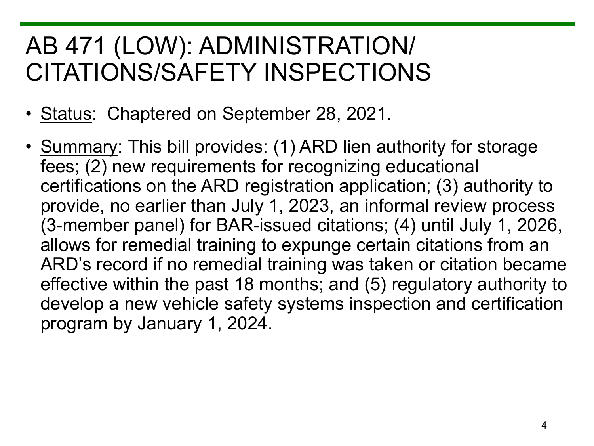#### AB 471 (LOW): ADMINISTRATION/ CITATIONS/SAFETY INSPECTIONS

- Status: Chaptered on September 28, 2021.
- Summary: This bill provides: (1) ARD lien authority for storage fees; (2) new requirements for recognizing educational certifications on the ARD registration application; (3) authority to provide, no earlier than July 1, 2023, an informal review process (3-member panel) for BAR-issued citations; (4) until July 1, 2026, allows for remedial training to expunge certain citations from an ARD's record if no remedial training was taken or citation became effective within the past 18 months; and (5) regulatory authority to develop a new vehicle safety systems inspection and certification program by January 1, 2024.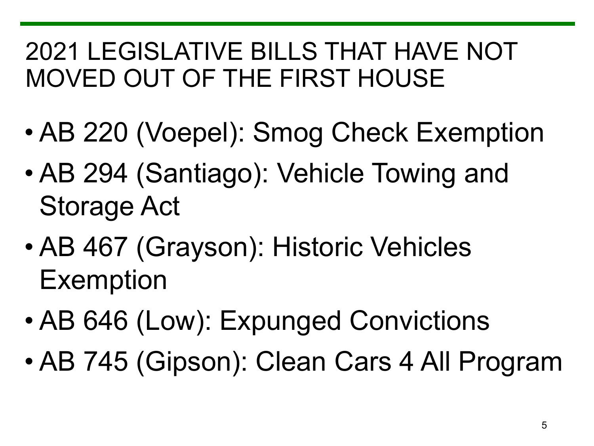#### 2021 LEGISLATIVE BILLS THAT HAVE NOT MOVED OUT OF THE FIRST HOUSE

- AB 220 (Voepel): Smog Check Exemption
- AB 294 (Santiago): Vehicle Towing and Storage Act
- AB 467 (Grayson): Historic Vehicles Exemption
- AB 646 (Low): Expunged Convictions
- AB 745 (Gipson): Clean Cars 4 All Program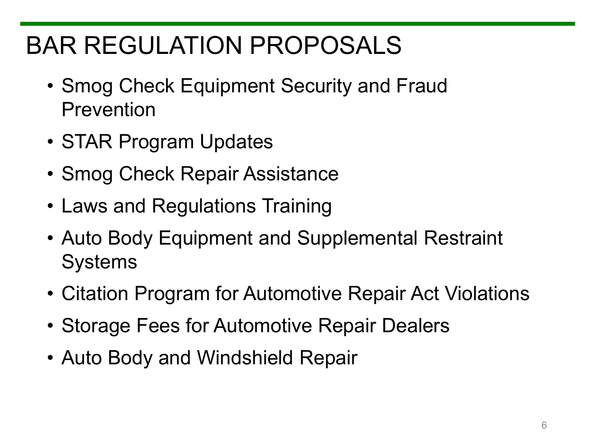# BAR REGULATION PROPOSALS

- Smog Check Equipment Security and Fraud Prevention
- STAR Program Updates
- Smog Check Repair Assistance
- Laws and Regulations Training
- Auto Body Equipment and Supplemental Restraint Systems
- Citation Program for Automotive Repair Act Violations
- Storage Fees for Automotive Repair Dealers
- Auto Body and Windshield Repair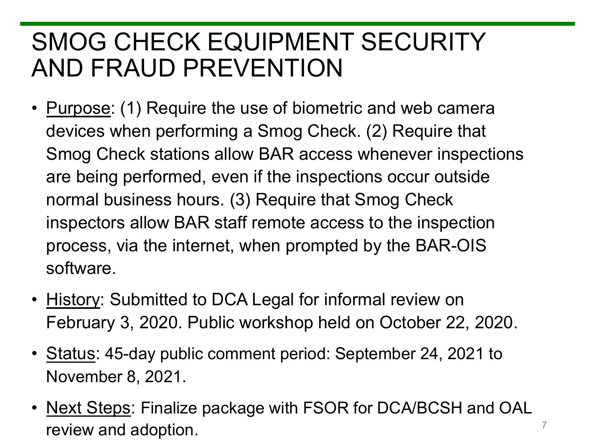#### SMOG CHECK EQUIPMENT SECURITY AND FRAUD PREVENTION

- Purpose: (1) Require the use of biometric and web camera devices when performing a Smog Check. (2) Require that Smog Check stations allow BAR access whenever inspections are being performed, even if the inspections occur outside normal business hours. (3) Require that Smog Check inspectors allow BAR staff remote access to the inspection process, via the internet, when prompted by the BAR-OIS software.
- History: Submitted to DCA Legal for informal review on February 3, 2020. Public workshop held on October 22, 2020.
- Status: 45-day public comment period: September 24, 2021 to November 8, 2021.
- Next Steps: Finalize package with FSOR for DCA/BCSH and OAL review and adoption.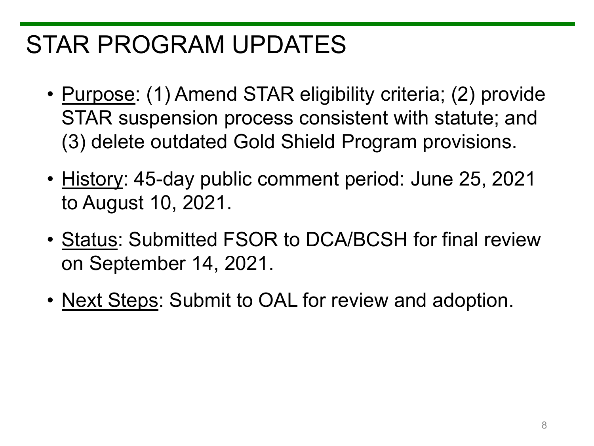#### STAR PROGRAM UPDATES

- Purpose: (1) Amend STAR eligibility criteria; (2) provide STAR suspension process consistent with statute; and (3) delete outdated Gold Shield Program provisions.
- History: 45-day public comment period: June 25, 2021 to August 10, 2021.
- Status: Submitted FSOR to DCA/BCSH for final review on September 14, 2021.
- Next Steps: Submit to OAL for review and adoption.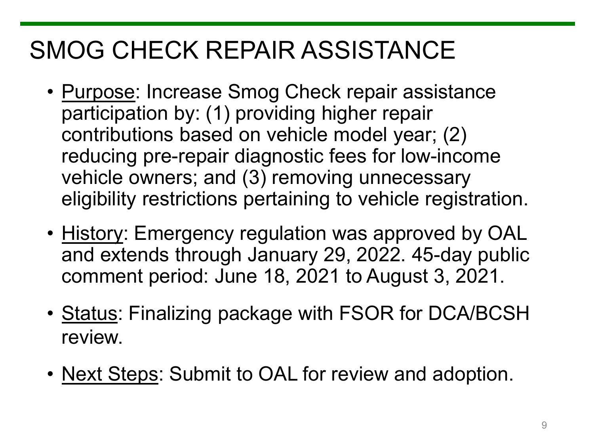# SMOG CHECK REPAIR ASSISTANCE

- Purpose: Increase Smog Check repair assistance participation by: (1) providing higher repair contributions based on vehicle model year; (2) reducing pre-repair diagnostic fees for low-income vehicle owners; and (3) removing unnecessary eligibility restrictions pertaining to vehicle registration.
- History: Emergency regulation was approved by OAL and extends through January 29, 2022. 45-day public comment period: June 18, 2021 to August 3, 2021.
- Status: Finalizing package with FSOR for DCA/BCSH review.
- Next Steps: Submit to OAL for review and adoption.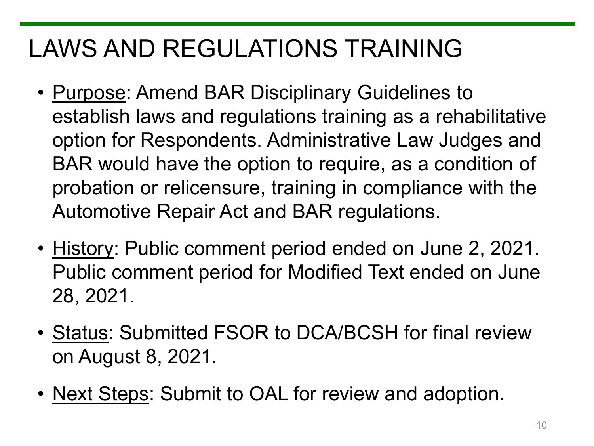# LAWS AND REGULATIONS TRAINING

- Purpose: Amend BAR Disciplinary Guidelines to establish laws and regulations training as a rehabilitative option for Respondents. Administrative Law Judges and BAR would have the option to require, as a condition of probation or relicensure, training in compliance with the Automotive Repair Act and BAR regulations.
- History: Public comment period ended on June 2, 2021. Public comment period for Modified Text ended on June 28, 2021.
- Status: Submitted FSOR to DCA/BCSH for final review on August 8, 2021.
- Next Steps: Submit to OAL for review and adoption.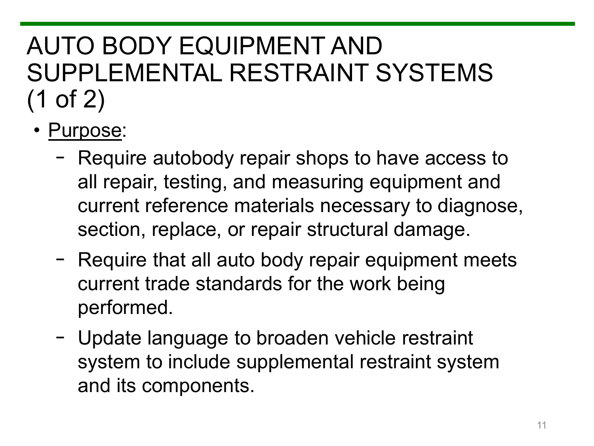# AUTO BODY EQUIPMENT AND SUPPLEMENTAL RESTRAINT SYSTEMS (1 of 2)

- Purpose:
	- − Require autobody repair shops to have access to all repair, testing, and measuring equipment and current reference materials necessary to diagnose, section, replace, or repair structural damage.
	- − Require that all auto body repair equipment meets current trade standards for the work being performed.
	- − Update language to broaden vehicle restraint system to include supplemental restraint system and its components.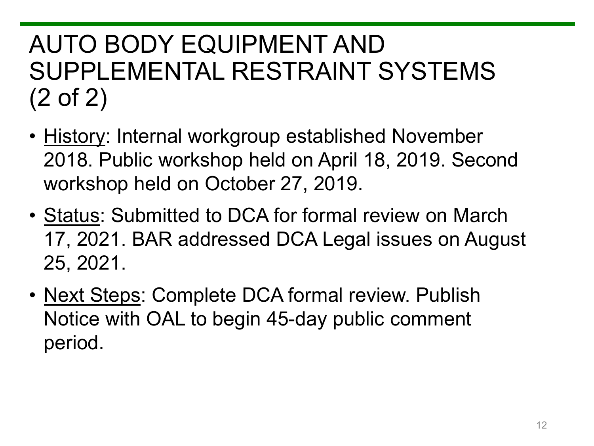# AUTO BODY EQUIPMENT AND SUPPLEMENTAL RESTRAINT SYSTEMS (2 of 2)

- History: Internal workgroup established November 2018. Public workshop held on April 18, 2019. Second workshop held on October 27, 2019.
- Status: Submitted to DCA for formal review on March 17, 2021. BAR addressed DCA Legal issues on August 25, 2021.
- Next Steps: Complete DCA formal review. Publish Notice with OAL to begin 45-day public comment period.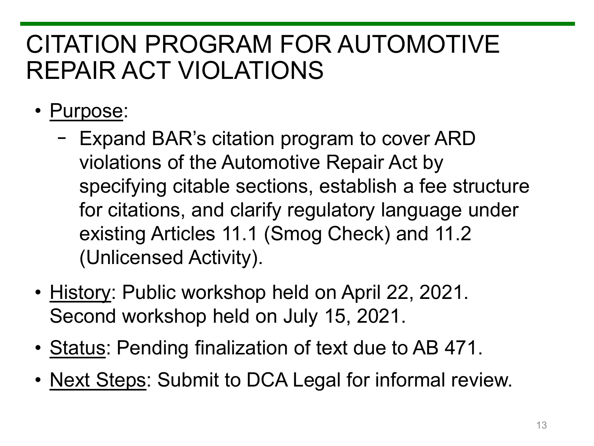#### CITATION PROGRAM FOR AUTOMOTIVE REPAIR ACT VIOLATIONS

- Purpose:
	- − Expand BAR's citation program to cover ARD violations of the Automotive Repair Act by specifying citable sections, establish a fee structure for citations, and clarify regulatory language under existing Articles 11.1 (Smog Check) and 11.2 (Unlicensed Activity).
- History: Public workshop held on April 22, 2021. Second workshop held on July 15, 2021.
- Status: Pending finalization of text due to AB 471.
- Next Steps: Submit to DCA Legal for informal review.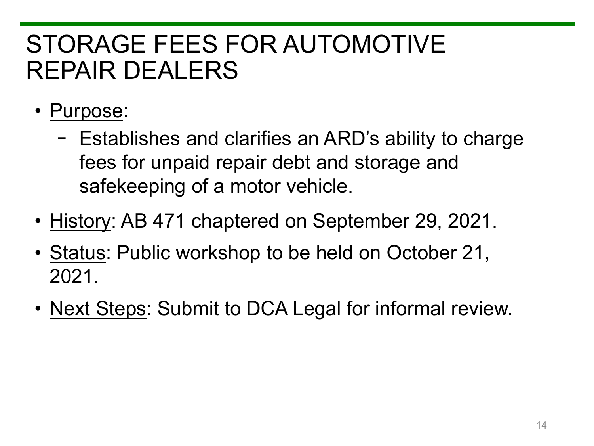#### STORAGE FEES FOR AUTOMOTIVE REPAIR DEALERS

- Purpose:
	- − Establishes and clarifies an ARD's ability to charge fees for unpaid repair debt and storage and safekeeping of a motor vehicle.
- History: AB 471 chaptered on September 29, 2021.
- Status: Public workshop to be held on October 21, 2021.
- Next Steps: Submit to DCA Legal for informal review.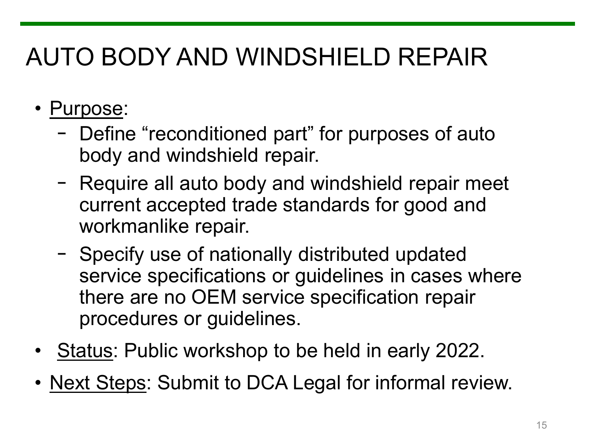# AUTO BODY AND WINDSHIELD REPAIR

- Purpose:
	- − Define "reconditioned part" for purposes of auto body and windshield repair.
	- − Require all auto body and windshield repair meet current accepted trade standards for good and workmanlike repair.
	- − Specify use of nationally distributed updated service specifications or guidelines in cases where there are no OEM service specification repair procedures or guidelines.
- Status: Public workshop to be held in early 2022.
- Next Steps: Submit to DCA Legal for informal review.